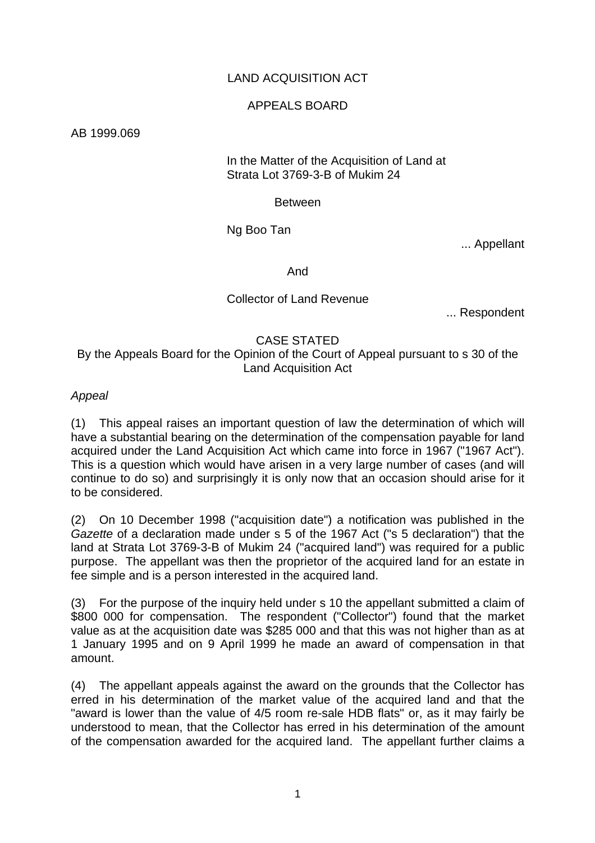# LAND ACQUISITION ACT

### APPEALS BOARD

AB 1999.069

#### In the Matter of the Acquisition of Land at Strata Lot 3769-3-B of Mukim 24

### Between

Ng Boo Tan

... Appellant

And

# Collector of Land Revenue

... Respondent

### CASE STATED By the Appeals Board for the Opinion of the Court of Appeal pursuant to s 30 of the Land Acquisition Act

# *Appeal*

(1) This appeal raises an important question of law the determination of which will have a substantial bearing on the determination of the compensation payable for land acquired under the Land Acquisition Act which came into force in 1967 ("1967 Act"). This is a question which would have arisen in a very large number of cases (and will continue to do so) and surprisingly it is only now that an occasion should arise for it to be considered.

(2) On 10 December 1998 ("acquisition date") a notification was published in the *Gazette* of a declaration made under s 5 of the 1967 Act ("s 5 declaration") that the land at Strata Lot 3769-3-B of Mukim 24 ("acquired land") was required for a public purpose. The appellant was then the proprietor of the acquired land for an estate in fee simple and is a person interested in the acquired land.

(3) For the purpose of the inquiry held under s 10 the appellant submitted a claim of \$800 000 for compensation. The respondent ("Collector") found that the market value as at the acquisition date was \$285 000 and that this was not higher than as at 1 January 1995 and on 9 April 1999 he made an award of compensation in that amount.

(4) The appellant appeals against the award on the grounds that the Collector has erred in his determination of the market value of the acquired land and that the "award is lower than the value of 4/5 room re-sale HDB flats" or, as it may fairly be understood to mean, that the Collector has erred in his determination of the amount of the compensation awarded for the acquired land. The appellant further claims a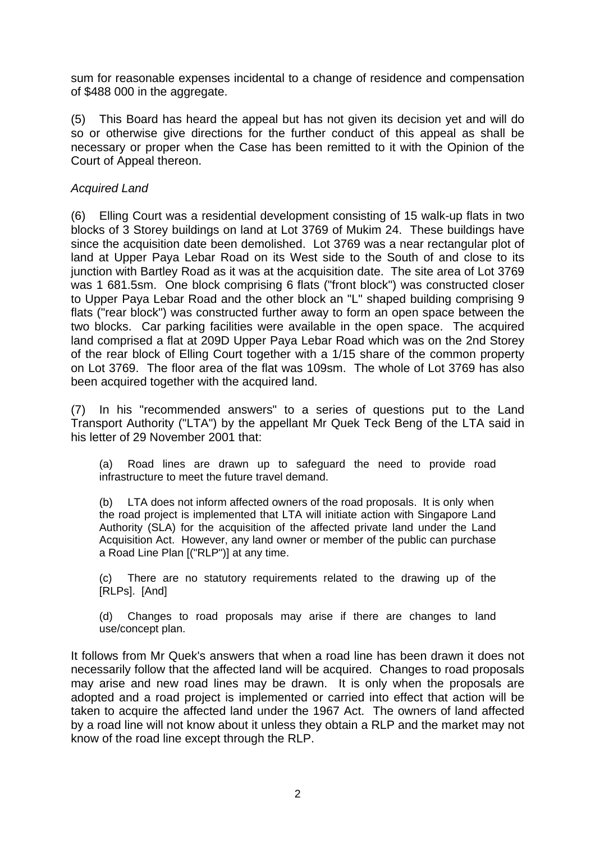sum for reasonable expenses incidental to a change of residence and compensation of \$488 000 in the aggregate.

(5) This Board has heard the appeal but has not given its decision yet and will do so or otherwise give directions for the further conduct of this appeal as shall be necessary or proper when the Case has been remitted to it with the Opinion of the Court of Appeal thereon.

# *Acquired Land*

(6) Elling Court was a residential development consisting of 15 walk-up flats in two blocks of 3 Storey buildings on land at Lot 3769 of Mukim 24. These buildings have since the acquisition date been demolished. Lot 3769 was a near rectangular plot of land at Upper Paya Lebar Road on its West side to the South of and close to its junction with Bartley Road as it was at the acquisition date. The site area of Lot 3769 was 1 681.5sm. One block comprising 6 flats ("front block") was constructed closer to Upper Paya Lebar Road and the other block an "L" shaped building comprising 9 flats ("rear block") was constructed further away to form an open space between the two blocks. Car parking facilities were available in the open space. The acquired land comprised a flat at 209D Upper Paya Lebar Road which was on the 2nd Storey of the rear block of Elling Court together with a 1/15 share of the common property on Lot 3769. The floor area of the flat was 109sm. The whole of Lot 3769 has also been acquired together with the acquired land.

(7) In his "recommended answers" to a series of questions put to the Land Transport Authority ("LTA") by the appellant Mr Quek Teck Beng of the LTA said in his letter of 29 November 2001 that:

(a) Road lines are drawn up to safeguard the need to provide road infrastructure to meet the future travel demand.

(b) LTA does not inform affected owners of the road proposals. It is only when the road project is implemented that LTA will initiate action with Singapore Land Authority (SLA) for the acquisition of the affected private land under the Land Acquisition Act. However, any land owner or member of the public can purchase a Road Line Plan [("RLP")] at any time.

(c) There are no statutory requirements related to the drawing up of the [RLPs]. [And]

(d) Changes to road proposals may arise if there are changes to land use/concept plan.

It follows from Mr Quek's answers that when a road line has been drawn it does not necessarily follow that the affected land will be acquired. Changes to road proposals may arise and new road lines may be drawn. It is only when the proposals are adopted and a road project is implemented or carried into effect that action will be taken to acquire the affected land under the 1967 Act. The owners of land affected by a road line will not know about it unless they obtain a RLP and the market may not know of the road line except through the RLP.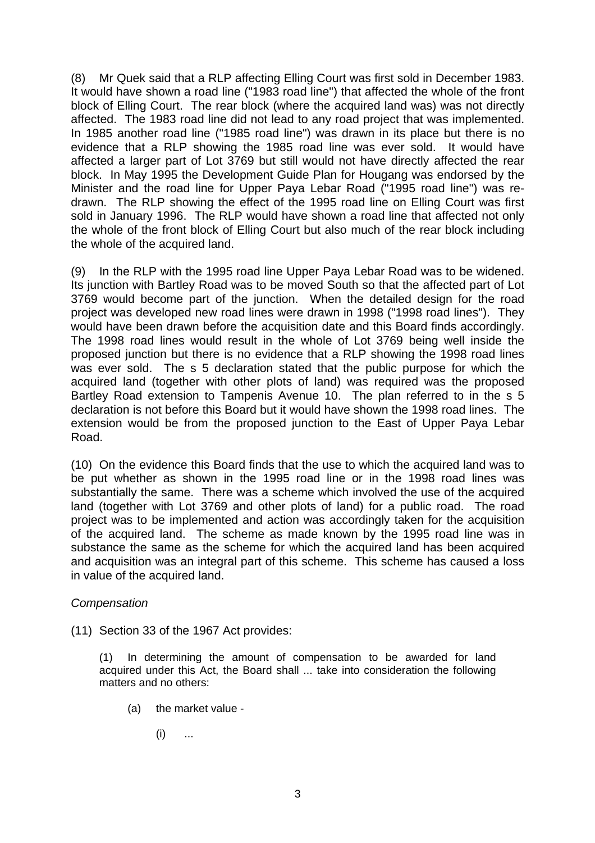(8) Mr Quek said that a RLP affecting Elling Court was first sold in December 1983. It would have shown a road line ("1983 road line") that affected the whole of the front block of Elling Court. The rear block (where the acquired land was) was not directly affected. The 1983 road line did not lead to any road project that was implemented. In 1985 another road line ("1985 road line") was drawn in its place but there is no evidence that a RLP showing the 1985 road line was ever sold. It would have affected a larger part of Lot 3769 but still would not have directly affected the rear block. In May 1995 the Development Guide Plan for Hougang was endorsed by the Minister and the road line for Upper Paya Lebar Road ("1995 road line") was redrawn. The RLP showing the effect of the 1995 road line on Elling Court was first sold in January 1996. The RLP would have shown a road line that affected not only the whole of the front block of Elling Court but also much of the rear block including the whole of the acquired land.

(9) In the RLP with the 1995 road line Upper Paya Lebar Road was to be widened. Its junction with Bartley Road was to be moved South so that the affected part of Lot 3769 would become part of the junction. When the detailed design for the road project was developed new road lines were drawn in 1998 ("1998 road lines"). They would have been drawn before the acquisition date and this Board finds accordingly. The 1998 road lines would result in the whole of Lot 3769 being well inside the proposed junction but there is no evidence that a RLP showing the 1998 road lines was ever sold. The s 5 declaration stated that the public purpose for which the acquired land (together with other plots of land) was required was the proposed Bartley Road extension to Tampenis Avenue 10. The plan referred to in the s 5 declaration is not before this Board but it would have shown the 1998 road lines. The extension would be from the proposed junction to the East of Upper Paya Lebar Road.

(10) On the evidence this Board finds that the use to which the acquired land was to be put whether as shown in the 1995 road line or in the 1998 road lines was substantially the same. There was a scheme which involved the use of the acquired land (together with Lot 3769 and other plots of land) for a public road. The road project was to be implemented and action was accordingly taken for the acquisition of the acquired land. The scheme as made known by the 1995 road line was in substance the same as the scheme for which the acquired land has been acquired and acquisition was an integral part of this scheme. This scheme has caused a loss in value of the acquired land.

## *Compensation*

(11) Section 33 of the 1967 Act provides:

(1) In determining the amount of compensation to be awarded for land acquired under this Act, the Board shall ... take into consideration the following matters and no others:

- (a) the market value
	- $(i)$  ...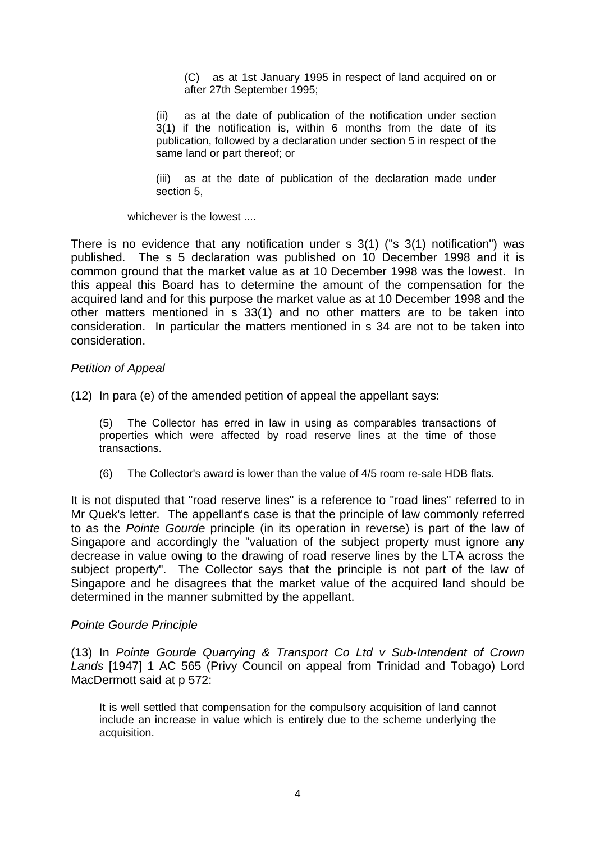(C) as at 1st January 1995 in respect of land acquired on or after 27th September 1995;

(ii) as at the date of publication of the notification under section 3(1) if the notification is, within 6 months from the date of its publication, followed by a declaration under section 5 in respect of the same land or part thereof; or

(iii) as at the date of publication of the declaration made under section 5,

whichever is the lowest

There is no evidence that any notification under s 3(1) ("s 3(1) notification") was published. The s 5 declaration was published on 10 December 1998 and it is common ground that the market value as at 10 December 1998 was the lowest. In this appeal this Board has to determine the amount of the compensation for the acquired land and for this purpose the market value as at 10 December 1998 and the other matters mentioned in s 33(1) and no other matters are to be taken into consideration. In particular the matters mentioned in s 34 are not to be taken into consideration.

### *Petition of Appeal*

(12) In para (e) of the amended petition of appeal the appellant says:

(5) The Collector has erred in law in using as comparables transactions of properties which were affected by road reserve lines at the time of those transactions.

(6) The Collector's award is lower than the value of 4/5 room re-sale HDB flats.

It is not disputed that "road reserve lines" is a reference to "road lines" referred to in Mr Quek's letter. The appellant's case is that the principle of law commonly referred to as the *Pointe Gourde* principle (in its operation in reverse) is part of the law of Singapore and accordingly the "valuation of the subject property must ignore any decrease in value owing to the drawing of road reserve lines by the LTA across the subject property". The Collector says that the principle is not part of the law of Singapore and he disagrees that the market value of the acquired land should be determined in the manner submitted by the appellant.

#### *Pointe Gourde Principle*

(13) In *Pointe Gourde Quarrying & Transport Co Ltd v Sub-Intendent of Crown Lands* [1947] 1 AC 565 (Privy Council on appeal from Trinidad and Tobago) Lord MacDermott said at p 572:

It is well settled that compensation for the compulsory acquisition of land cannot include an increase in value which is entirely due to the scheme underlying the acquisition.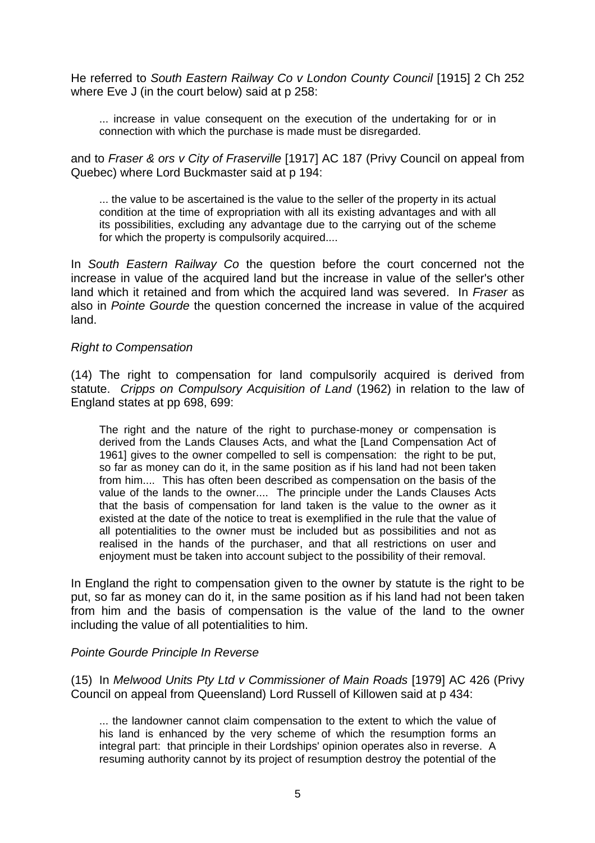He referred to *South Eastern Railway Co v London County Council* [1915] 2 Ch 252 where Eve J (in the court below) said at p 258:

... increase in value consequent on the execution of the undertaking for or in connection with which the purchase is made must be disregarded.

and to *Fraser & ors v City of Fraserville* [1917] AC 187 (Privy Council on appeal from Quebec) where Lord Buckmaster said at p 194:

... the value to be ascertained is the value to the seller of the property in its actual condition at the time of expropriation with all its existing advantages and with all its possibilities, excluding any advantage due to the carrying out of the scheme for which the property is compulsorily acquired....

In *South Eastern Railway Co* the question before the court concerned not the increase in value of the acquired land but the increase in value of the seller's other land which it retained and from which the acquired land was severed. In *Fraser* as also in *Pointe Gourde* the question concerned the increase in value of the acquired land.

### *Right to Compensation*

(14) The right to compensation for land compulsorily acquired is derived from statute. *Cripps on Compulsory Acquisition of Land* (1962) in relation to the law of England states at pp 698, 699:

The right and the nature of the right to purchase-money or compensation is derived from the Lands Clauses Acts, and what the [Land Compensation Act of 1961] gives to the owner compelled to sell is compensation: the right to be put, so far as money can do it, in the same position as if his land had not been taken from him.... This has often been described as compensation on the basis of the value of the lands to the owner.... The principle under the Lands Clauses Acts that the basis of compensation for land taken is the value to the owner as it existed at the date of the notice to treat is exemplified in the rule that the value of all potentialities to the owner must be included but as possibilities and not as realised in the hands of the purchaser, and that all restrictions on user and enjoyment must be taken into account subject to the possibility of their removal.

In England the right to compensation given to the owner by statute is the right to be put, so far as money can do it, in the same position as if his land had not been taken from him and the basis of compensation is the value of the land to the owner including the value of all potentialities to him.

## *Pointe Gourde Principle In Reverse*

(15) In *Melwood Units Pty Ltd v Commissioner of Main Roads* [1979] AC 426 (Privy Council on appeal from Queensland) Lord Russell of Killowen said at p 434:

... the landowner cannot claim compensation to the extent to which the value of his land is enhanced by the very scheme of which the resumption forms an integral part: that principle in their Lordships' opinion operates also in reverse. A resuming authority cannot by its project of resumption destroy the potential of the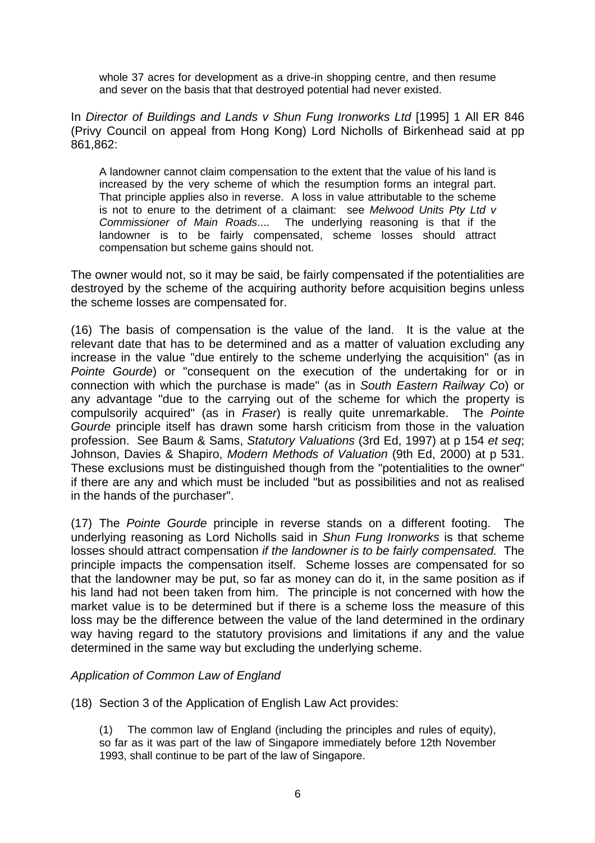whole 37 acres for development as a drive-in shopping centre, and then resume and sever on the basis that that destroyed potential had never existed.

In *Director of Buildings and Lands v Shun Fung Ironworks Ltd* [1995] 1 All ER 846 (Privy Council on appeal from Hong Kong) Lord Nicholls of Birkenhead said at pp 861,862:

A landowner cannot claim compensation to the extent that the value of his land is increased by the very scheme of which the resumption forms an integral part. That principle applies also in reverse. A loss in value attributable to the scheme is not to enure to the detriment of a claimant: see *Melwood Units Pty Ltd v Commissioner of Main Roads*.... The underlying reasoning is that if the landowner is to be fairly compensated, scheme losses should attract compensation but scheme gains should not.

The owner would not, so it may be said, be fairly compensated if the potentialities are destroyed by the scheme of the acquiring authority before acquisition begins unless the scheme losses are compensated for.

(16) The basis of compensation is the value of the land. It is the value at the relevant date that has to be determined and as a matter of valuation excluding any increase in the value "due entirely to the scheme underlying the acquisition" (as in *Pointe Gourde*) or "consequent on the execution of the undertaking for or in connection with which the purchase is made" (as in *South Eastern Railway Co*) or any advantage "due to the carrying out of the scheme for which the property is compulsorily acquired" (as in *Fraser*) is really quite unremarkable. The *Pointe Gourde* principle itself has drawn some harsh criticism from those in the valuation profession. See Baum & Sams, *Statutory Valuations* (3rd Ed, 1997) at p 154 *et seq*; Johnson, Davies & Shapiro, *Modern Methods of Valuation* (9th Ed, 2000) at p 531. These exclusions must be distinguished though from the "potentialities to the owner" if there are any and which must be included "but as possibilities and not as realised in the hands of the purchaser".

(17) The *Pointe Gourde* principle in reverse stands on a different footing. The underlying reasoning as Lord Nicholls said in *Shun Fung Ironworks* is that scheme losses should attract compensation *if the landowner is to be fairly compensated.* The principle impacts the compensation itself. Scheme losses are compensated for so that the landowner may be put, so far as money can do it, in the same position as if his land had not been taken from him. The principle is not concerned with how the market value is to be determined but if there is a scheme loss the measure of this loss may be the difference between the value of the land determined in the ordinary way having regard to the statutory provisions and limitations if any and the value determined in the same way but excluding the underlying scheme.

## *Application of Common Law of England*

(18) Section 3 of the Application of English Law Act provides:

(1) The common law of England (including the principles and rules of equity), so far as it was part of the law of Singapore immediately before 12th November 1993, shall continue to be part of the law of Singapore.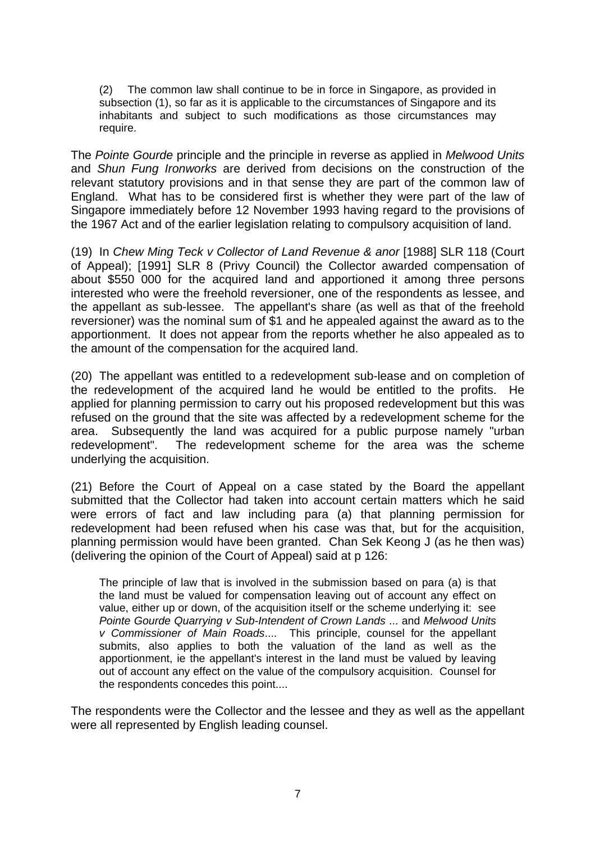(2) The common law shall continue to be in force in Singapore, as provided in subsection (1), so far as it is applicable to the circumstances of Singapore and its inhabitants and subject to such modifications as those circumstances may require.

The *Pointe Gourde* principle and the principle in reverse as applied in *Melwood Units* and *Shun Fung Ironworks* are derived from decisions on the construction of the relevant statutory provisions and in that sense they are part of the common law of England. What has to be considered first is whether they were part of the law of Singapore immediately before 12 November 1993 having regard to the provisions of the 1967 Act and of the earlier legislation relating to compulsory acquisition of land.

(19) In *Chew Ming Teck v Collector of Land Revenue & anor* [1988] SLR 118 (Court of Appeal); [1991] SLR 8 (Privy Council) the Collector awarded compensation of about \$550 000 for the acquired land and apportioned it among three persons interested who were the freehold reversioner, one of the respondents as lessee, and the appellant as sub-lessee. The appellant's share (as well as that of the freehold reversioner) was the nominal sum of \$1 and he appealed against the award as to the apportionment. It does not appear from the reports whether he also appealed as to the amount of the compensation for the acquired land.

(20) The appellant was entitled to a redevelopment sub-lease and on completion of the redevelopment of the acquired land he would be entitled to the profits. He applied for planning permission to carry out his proposed redevelopment but this was refused on the ground that the site was affected by a redevelopment scheme for the area. Subsequently the land was acquired for a public purpose namely "urban redevelopment". The redevelopment scheme for the area was the scheme underlying the acquisition.

(21) Before the Court of Appeal on a case stated by the Board the appellant submitted that the Collector had taken into account certain matters which he said were errors of fact and law including para (a) that planning permission for redevelopment had been refused when his case was that, but for the acquisition, planning permission would have been granted. Chan Sek Keong J (as he then was) (delivering the opinion of the Court of Appeal) said at p 126:

The principle of law that is involved in the submission based on para (a) is that the land must be valued for compensation leaving out of account any effect on value, either up or down, of the acquisition itself or the scheme underlying it: see *Pointe Gourde Quarrying v Sub-Intendent of Crown Lands* ... and *Melwood Units v Commissioner of Main Roads*.... This principle, counsel for the appellant submits, also applies to both the valuation of the land as well as the apportionment, ie the appellant's interest in the land must be valued by leaving out of account any effect on the value of the compulsory acquisition. Counsel for the respondents concedes this point....

The respondents were the Collector and the lessee and they as well as the appellant were all represented by English leading counsel.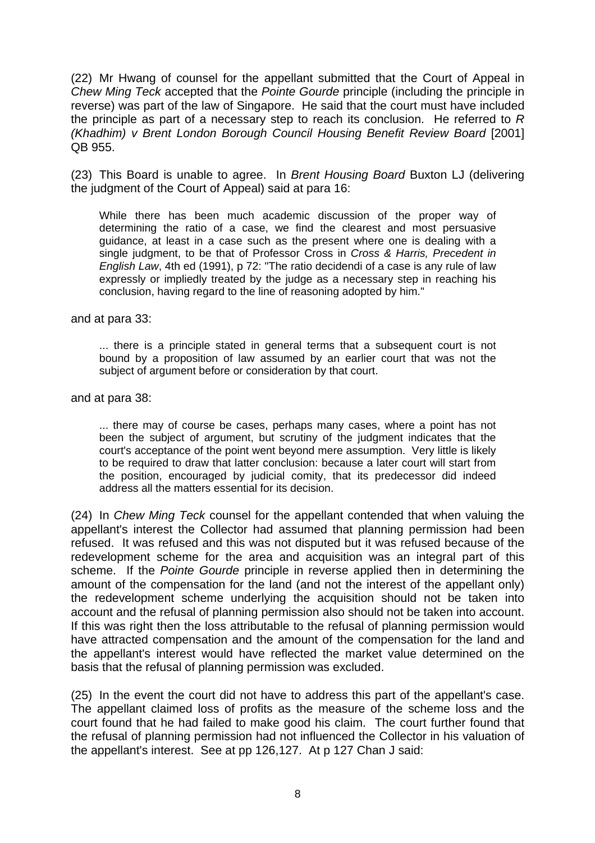(22) Mr Hwang of counsel for the appellant submitted that the Court of Appeal in *Chew Ming Teck* accepted that the *Pointe Gourde* principle (including the principle in reverse) was part of the law of Singapore. He said that the court must have included the principle as part of a necessary step to reach its conclusion. He referred to *R (Khadhim) v Brent London Borough Council Housing Benefit Review Board* [2001] QB 955.

(23) This Board is unable to agree. In *Brent Housing Board* Buxton LJ (delivering the judgment of the Court of Appeal) said at para 16:

While there has been much academic discussion of the proper way of determining the ratio of a case, we find the clearest and most persuasive guidance, at least in a case such as the present where one is dealing with a single judgment, to be that of Professor Cross in *Cross & Harris, Precedent in English Law*, 4th ed (1991), p 72: "The ratio decidendi of a case is any rule of law expressly or impliedly treated by the judge as a necessary step in reaching his conclusion, having regard to the line of reasoning adopted by him."

and at para 33:

... there is a principle stated in general terms that a subsequent court is not bound by a proposition of law assumed by an earlier court that was not the subject of argument before or consideration by that court.

and at para 38:

... there may of course be cases, perhaps many cases, where a point has not been the subject of argument, but scrutiny of the judgment indicates that the court's acceptance of the point went beyond mere assumption. Very little is likely to be required to draw that latter conclusion: because a later court will start from the position, encouraged by judicial comity, that its predecessor did indeed address all the matters essential for its decision.

(24) In *Chew Ming Teck* counsel for the appellant contended that when valuing the appellant's interest the Collector had assumed that planning permission had been refused. It was refused and this was not disputed but it was refused because of the redevelopment scheme for the area and acquisition was an integral part of this scheme. If the *Pointe Gourde* principle in reverse applied then in determining the amount of the compensation for the land (and not the interest of the appellant only) the redevelopment scheme underlying the acquisition should not be taken into account and the refusal of planning permission also should not be taken into account. If this was right then the loss attributable to the refusal of planning permission would have attracted compensation and the amount of the compensation for the land and the appellant's interest would have reflected the market value determined on the basis that the refusal of planning permission was excluded.

(25) In the event the court did not have to address this part of the appellant's case. The appellant claimed loss of profits as the measure of the scheme loss and the court found that he had failed to make good his claim. The court further found that the refusal of planning permission had not influenced the Collector in his valuation of the appellant's interest. See at pp 126,127. At p 127 Chan J said: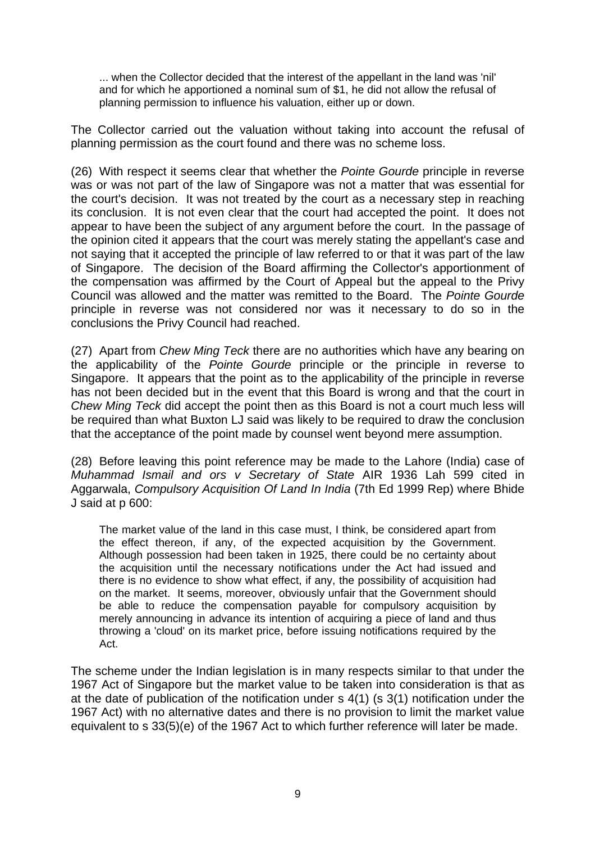... when the Collector decided that the interest of the appellant in the land was 'nil' and for which he apportioned a nominal sum of \$1, he did not allow the refusal of planning permission to influence his valuation, either up or down.

The Collector carried out the valuation without taking into account the refusal of planning permission as the court found and there was no scheme loss.

(26) With respect it seems clear that whether the *Pointe Gourde* principle in reverse was or was not part of the law of Singapore was not a matter that was essential for the court's decision. It was not treated by the court as a necessary step in reaching its conclusion. It is not even clear that the court had accepted the point. It does not appear to have been the subject of any argument before the court. In the passage of the opinion cited it appears that the court was merely stating the appellant's case and not saying that it accepted the principle of law referred to or that it was part of the law of Singapore. The decision of the Board affirming the Collector's apportionment of the compensation was affirmed by the Court of Appeal but the appeal to the Privy Council was allowed and the matter was remitted to the Board. The *Pointe Gourde* principle in reverse was not considered nor was it necessary to do so in the conclusions the Privy Council had reached.

(27) Apart from *Chew Ming Teck* there are no authorities which have any bearing on the applicability of the *Pointe Gourde* principle or the principle in reverse to Singapore. It appears that the point as to the applicability of the principle in reverse has not been decided but in the event that this Board is wrong and that the court in *Chew Ming Teck* did accept the point then as this Board is not a court much less will be required than what Buxton LJ said was likely to be required to draw the conclusion that the acceptance of the point made by counsel went beyond mere assumption.

(28) Before leaving this point reference may be made to the Lahore (India) case of *Muhammad Ismail and ors v Secretary of State* AIR 1936 Lah 599 cited in Aggarwala, *Compulsory Acquisition Of Land In India* (7th Ed 1999 Rep) where Bhide J said at p 600:

The market value of the land in this case must, I think, be considered apart from the effect thereon, if any, of the expected acquisition by the Government. Although possession had been taken in 1925, there could be no certainty about the acquisition until the necessary notifications under the Act had issued and there is no evidence to show what effect, if any, the possibility of acquisition had on the market. It seems, moreover, obviously unfair that the Government should be able to reduce the compensation payable for compulsory acquisition by merely announcing in advance its intention of acquiring a piece of land and thus throwing a 'cloud' on its market price, before issuing notifications required by the Act.

The scheme under the Indian legislation is in many respects similar to that under the 1967 Act of Singapore but the market value to be taken into consideration is that as at the date of publication of the notification under s 4(1) (s 3(1) notification under the 1967 Act) with no alternative dates and there is no provision to limit the market value equivalent to s 33(5)(e) of the 1967 Act to which further reference will later be made.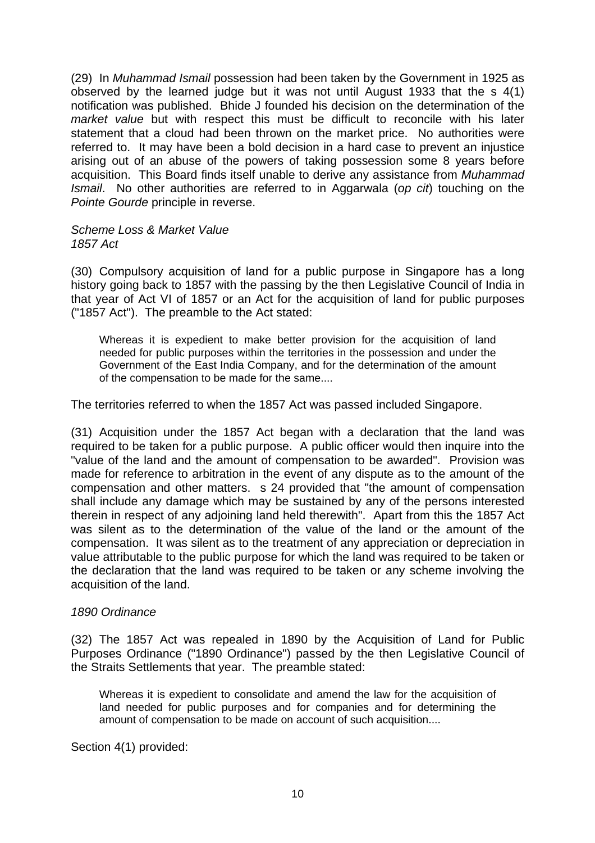(29) In *Muhammad Ismail* possession had been taken by the Government in 1925 as observed by the learned judge but it was not until August 1933 that the s 4(1) notification was published. Bhide J founded his decision on the determination of the *market value* but with respect this must be difficult to reconcile with his later statement that a cloud had been thrown on the market price. No authorities were referred to. It may have been a bold decision in a hard case to prevent an injustice arising out of an abuse of the powers of taking possession some 8 years before acquisition. This Board finds itself unable to derive any assistance from *Muhammad Ismail*. No other authorities are referred to in Aggarwala (*op cit*) touching on the *Pointe Gourde* principle in reverse.

#### *Scheme Loss & Market Value 1857 Act*

(30) Compulsory acquisition of land for a public purpose in Singapore has a long history going back to 1857 with the passing by the then Legislative Council of India in that year of Act VI of 1857 or an Act for the acquisition of land for public purposes ("1857 Act"). The preamble to the Act stated:

Whereas it is expedient to make better provision for the acquisition of land needed for public purposes within the territories in the possession and under the Government of the East India Company, and for the determination of the amount of the compensation to be made for the same....

The territories referred to when the 1857 Act was passed included Singapore.

(31) Acquisition under the 1857 Act began with a declaration that the land was required to be taken for a public purpose. A public officer would then inquire into the "value of the land and the amount of compensation to be awarded". Provision was made for reference to arbitration in the event of any dispute as to the amount of the compensation and other matters. s 24 provided that "the amount of compensation shall include any damage which may be sustained by any of the persons interested therein in respect of any adjoining land held therewith". Apart from this the 1857 Act was silent as to the determination of the value of the land or the amount of the compensation. It was silent as to the treatment of any appreciation or depreciation in value attributable to the public purpose for which the land was required to be taken or the declaration that the land was required to be taken or any scheme involving the acquisition of the land.

## *1890 Ordinance*

(32) The 1857 Act was repealed in 1890 by the Acquisition of Land for Public Purposes Ordinance ("1890 Ordinance") passed by the then Legislative Council of the Straits Settlements that year. The preamble stated:

Whereas it is expedient to consolidate and amend the law for the acquisition of land needed for public purposes and for companies and for determining the amount of compensation to be made on account of such acquisition....

Section 4(1) provided: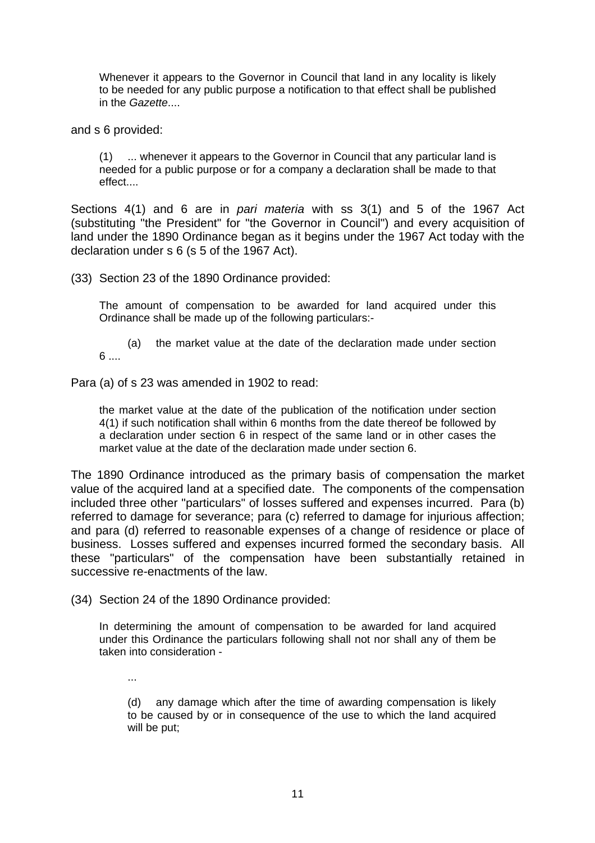Whenever it appears to the Governor in Council that land in any locality is likely to be needed for any public purpose a notification to that effect shall be published in the *Gazette*....

and s 6 provided:

(1) ... whenever it appears to the Governor in Council that any particular land is needed for a public purpose or for a company a declaration shall be made to that effect....

Sections 4(1) and 6 are in *pari materia* with ss 3(1) and 5 of the 1967 Act (substituting "the President" for "the Governor in Council") and every acquisition of land under the 1890 Ordinance began as it begins under the 1967 Act today with the declaration under s 6 (s 5 of the 1967 Act).

(33) Section 23 of the 1890 Ordinance provided:

The amount of compensation to be awarded for land acquired under this Ordinance shall be made up of the following particulars:-

 (a) the market value at the date of the declaration made under section 6 ....

Para (a) of s 23 was amended in 1902 to read:

the market value at the date of the publication of the notification under section 4(1) if such notification shall within 6 months from the date thereof be followed by a declaration under section 6 in respect of the same land or in other cases the market value at the date of the declaration made under section 6.

The 1890 Ordinance introduced as the primary basis of compensation the market value of the acquired land at a specified date. The components of the compensation included three other "particulars" of losses suffered and expenses incurred. Para (b) referred to damage for severance; para (c) referred to damage for injurious affection; and para (d) referred to reasonable expenses of a change of residence or place of business. Losses suffered and expenses incurred formed the secondary basis. All these "particulars" of the compensation have been substantially retained in successive re-enactments of the law.

(34) Section 24 of the 1890 Ordinance provided:

In determining the amount of compensation to be awarded for land acquired under this Ordinance the particulars following shall not nor shall any of them be taken into consideration -

...

(d) any damage which after the time of awarding compensation is likely to be caused by or in consequence of the use to which the land acquired will be put;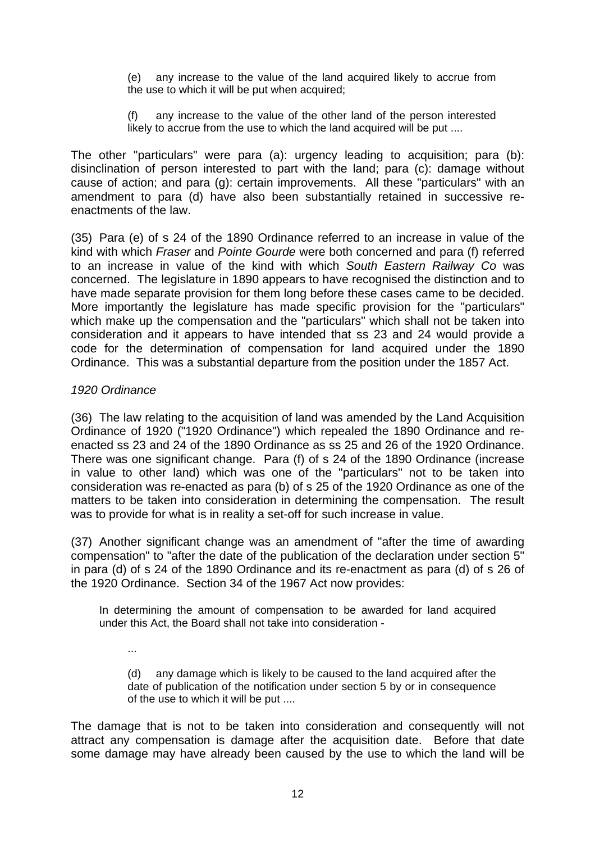(e) any increase to the value of the land acquired likely to accrue from the use to which it will be put when acquired;

(f) any increase to the value of the other land of the person interested likely to accrue from the use to which the land acquired will be put ....

The other "particulars" were para (a): urgency leading to acquisition; para (b): disinclination of person interested to part with the land; para (c): damage without cause of action; and para (g): certain improvements. All these "particulars" with an amendment to para (d) have also been substantially retained in successive reenactments of the law.

(35) Para (e) of s 24 of the 1890 Ordinance referred to an increase in value of the kind with which *Fraser* and *Pointe Gourde* were both concerned and para (f) referred to an increase in value of the kind with which *South Eastern Railway Co* was concerned. The legislature in 1890 appears to have recognised the distinction and to have made separate provision for them long before these cases came to be decided. More importantly the legislature has made specific provision for the "particulars" which make up the compensation and the "particulars" which shall not be taken into consideration and it appears to have intended that ss 23 and 24 would provide a code for the determination of compensation for land acquired under the 1890 Ordinance. This was a substantial departure from the position under the 1857 Act.

### *1920 Ordinance*

...

(36) The law relating to the acquisition of land was amended by the Land Acquisition Ordinance of 1920 ("1920 Ordinance") which repealed the 1890 Ordinance and reenacted ss 23 and 24 of the 1890 Ordinance as ss 25 and 26 of the 1920 Ordinance. There was one significant change. Para (f) of s 24 of the 1890 Ordinance (increase in value to other land) which was one of the "particulars" not to be taken into consideration was re-enacted as para (b) of s 25 of the 1920 Ordinance as one of the matters to be taken into consideration in determining the compensation. The result was to provide for what is in reality a set-off for such increase in value.

(37) Another significant change was an amendment of "after the time of awarding compensation" to "after the date of the publication of the declaration under section 5" in para (d) of s 24 of the 1890 Ordinance and its re-enactment as para (d) of s 26 of the 1920 Ordinance. Section 34 of the 1967 Act now provides:

In determining the amount of compensation to be awarded for land acquired under this Act, the Board shall not take into consideration -

(d) any damage which is likely to be caused to the land acquired after the date of publication of the notification under section 5 by or in consequence of the use to which it will be put ....

The damage that is not to be taken into consideration and consequently will not attract any compensation is damage after the acquisition date. Before that date some damage may have already been caused by the use to which the land will be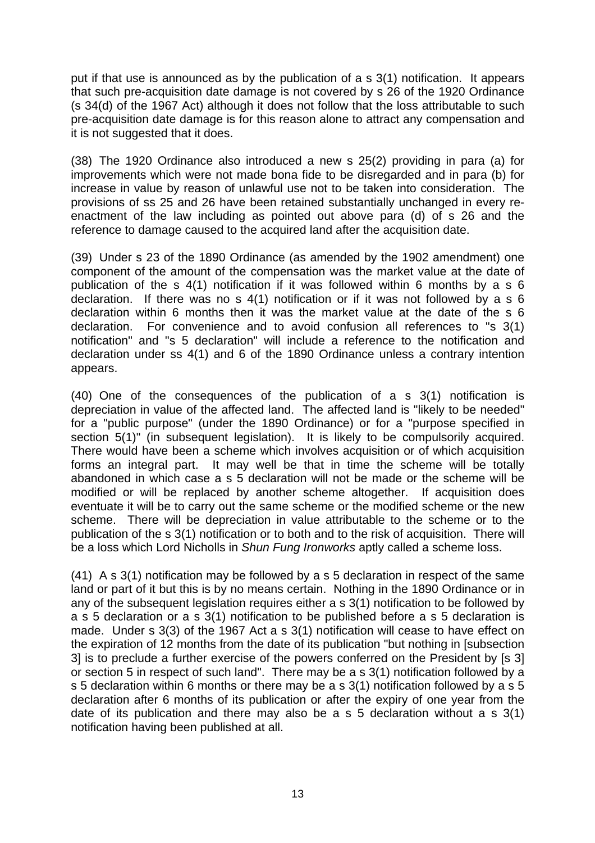put if that use is announced as by the publication of a s 3(1) notification. It appears that such pre-acquisition date damage is not covered by s 26 of the 1920 Ordinance (s 34(d) of the 1967 Act) although it does not follow that the loss attributable to such pre-acquisition date damage is for this reason alone to attract any compensation and it is not suggested that it does.

(38) The 1920 Ordinance also introduced a new s 25(2) providing in para (a) for improvements which were not made bona fide to be disregarded and in para (b) for increase in value by reason of unlawful use not to be taken into consideration. The provisions of ss 25 and 26 have been retained substantially unchanged in every reenactment of the law including as pointed out above para (d) of s 26 and the reference to damage caused to the acquired land after the acquisition date.

(39) Under s 23 of the 1890 Ordinance (as amended by the 1902 amendment) one component of the amount of the compensation was the market value at the date of publication of the s 4(1) notification if it was followed within 6 months by a s 6 declaration. If there was no s 4(1) notification or if it was not followed by a s 6 declaration within 6 months then it was the market value at the date of the s 6 declaration. For convenience and to avoid confusion all references to "s 3(1) notification" and "s 5 declaration" will include a reference to the notification and declaration under ss 4(1) and 6 of the 1890 Ordinance unless a contrary intention appears.

(40) One of the consequences of the publication of a s 3(1) notification is depreciation in value of the affected land. The affected land is "likely to be needed" for a "public purpose" (under the 1890 Ordinance) or for a "purpose specified in section 5(1)" (in subsequent legislation). It is likely to be compulsorily acquired. There would have been a scheme which involves acquisition or of which acquisition forms an integral part. It may well be that in time the scheme will be totally abandoned in which case a s 5 declaration will not be made or the scheme will be modified or will be replaced by another scheme altogether. If acquisition does eventuate it will be to carry out the same scheme or the modified scheme or the new scheme. There will be depreciation in value attributable to the scheme or to the publication of the s 3(1) notification or to both and to the risk of acquisition. There will be a loss which Lord Nicholls in *Shun Fung Ironworks* aptly called a scheme loss.

(41) A s 3(1) notification may be followed by a s 5 declaration in respect of the same land or part of it but this is by no means certain. Nothing in the 1890 Ordinance or in any of the subsequent legislation requires either a s 3(1) notification to be followed by a s 5 declaration or a s 3(1) notification to be published before a s 5 declaration is made. Under s 3(3) of the 1967 Act a s 3(1) notification will cease to have effect on the expiration of 12 months from the date of its publication "but nothing in [subsection 3] is to preclude a further exercise of the powers conferred on the President by [s 3] or section 5 in respect of such land". There may be a s 3(1) notification followed by a s 5 declaration within 6 months or there may be a s 3(1) notification followed by a s 5 declaration after 6 months of its publication or after the expiry of one year from the date of its publication and there may also be a s 5 declaration without a s 3(1) notification having been published at all.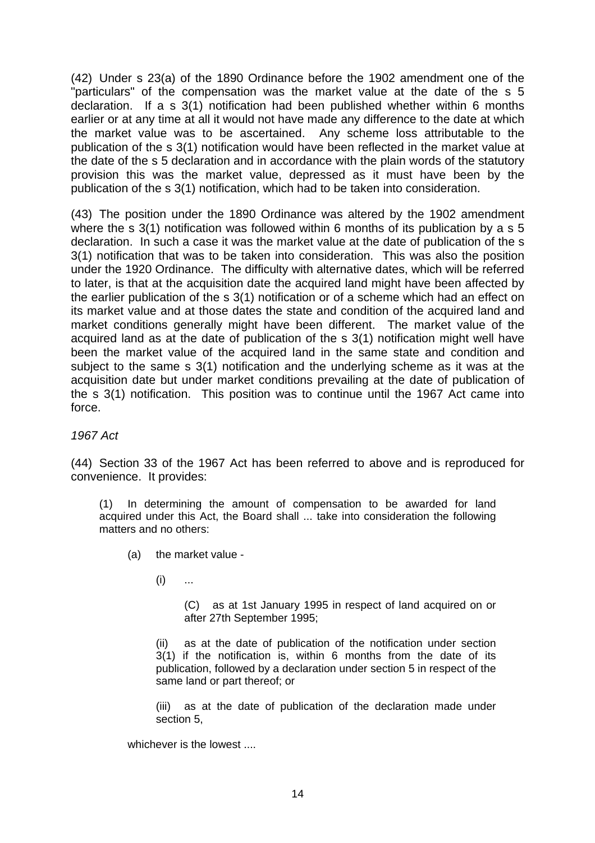(42) Under s 23(a) of the 1890 Ordinance before the 1902 amendment one of the "particulars" of the compensation was the market value at the date of the s 5 declaration. If a s 3(1) notification had been published whether within 6 months earlier or at any time at all it would not have made any difference to the date at which the market value was to be ascertained. Any scheme loss attributable to the publication of the s 3(1) notification would have been reflected in the market value at the date of the s 5 declaration and in accordance with the plain words of the statutory provision this was the market value, depressed as it must have been by the publication of the s 3(1) notification, which had to be taken into consideration.

(43) The position under the 1890 Ordinance was altered by the 1902 amendment where the s 3(1) notification was followed within 6 months of its publication by a s 5 declaration. In such a case it was the market value at the date of publication of the s 3(1) notification that was to be taken into consideration. This was also the position under the 1920 Ordinance. The difficulty with alternative dates, which will be referred to later, is that at the acquisition date the acquired land might have been affected by the earlier publication of the s 3(1) notification or of a scheme which had an effect on its market value and at those dates the state and condition of the acquired land and market conditions generally might have been different. The market value of the acquired land as at the date of publication of the s 3(1) notification might well have been the market value of the acquired land in the same state and condition and subject to the same s 3(1) notification and the underlying scheme as it was at the acquisition date but under market conditions prevailing at the date of publication of the s 3(1) notification. This position was to continue until the 1967 Act came into force.

*1967 Act*

(44) Section 33 of the 1967 Act has been referred to above and is reproduced for convenience. It provides:

(1) In determining the amount of compensation to be awarded for land acquired under this Act, the Board shall ... take into consideration the following matters and no others:

- (a) the market value
	- $(i)$  ...

(C) as at 1st January 1995 in respect of land acquired on or after 27th September 1995;

(ii) as at the date of publication of the notification under section 3(1) if the notification is, within 6 months from the date of its publication, followed by a declaration under section 5 in respect of the same land or part thereof; or

(iii) as at the date of publication of the declaration made under section 5,

whichever is the lowest ....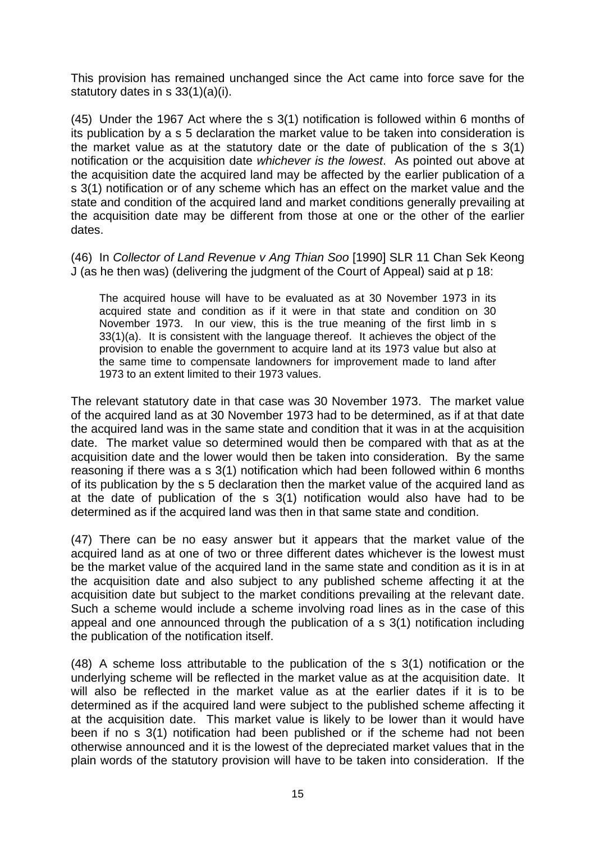This provision has remained unchanged since the Act came into force save for the statutory dates in s 33(1)(a)(i).

(45) Under the 1967 Act where the s 3(1) notification is followed within 6 months of its publication by a s 5 declaration the market value to be taken into consideration is the market value as at the statutory date or the date of publication of the s 3(1) notification or the acquisition date *whichever is the lowest*. As pointed out above at the acquisition date the acquired land may be affected by the earlier publication of a s 3(1) notification or of any scheme which has an effect on the market value and the state and condition of the acquired land and market conditions generally prevailing at the acquisition date may be different from those at one or the other of the earlier dates.

(46) In *Collector of Land Revenue v Ang Thian Soo* [1990] SLR 11 Chan Sek Keong J (as he then was) (delivering the judgment of the Court of Appeal) said at p 18:

The acquired house will have to be evaluated as at 30 November 1973 in its acquired state and condition as if it were in that state and condition on 30 November 1973. In our view, this is the true meaning of the first limb in s 33(1)(a). It is consistent with the language thereof. It achieves the object of the provision to enable the government to acquire land at its 1973 value but also at the same time to compensate landowners for improvement made to land after 1973 to an extent limited to their 1973 values.

The relevant statutory date in that case was 30 November 1973. The market value of the acquired land as at 30 November 1973 had to be determined, as if at that date the acquired land was in the same state and condition that it was in at the acquisition date. The market value so determined would then be compared with that as at the acquisition date and the lower would then be taken into consideration. By the same reasoning if there was a s 3(1) notification which had been followed within 6 months of its publication by the s 5 declaration then the market value of the acquired land as at the date of publication of the s 3(1) notification would also have had to be determined as if the acquired land was then in that same state and condition.

(47) There can be no easy answer but it appears that the market value of the acquired land as at one of two or three different dates whichever is the lowest must be the market value of the acquired land in the same state and condition as it is in at the acquisition date and also subject to any published scheme affecting it at the acquisition date but subject to the market conditions prevailing at the relevant date. Such a scheme would include a scheme involving road lines as in the case of this appeal and one announced through the publication of a s 3(1) notification including the publication of the notification itself.

(48) A scheme loss attributable to the publication of the s 3(1) notification or the underlying scheme will be reflected in the market value as at the acquisition date. It will also be reflected in the market value as at the earlier dates if it is to be determined as if the acquired land were subject to the published scheme affecting it at the acquisition date. This market value is likely to be lower than it would have been if no s 3(1) notification had been published or if the scheme had not been otherwise announced and it is the lowest of the depreciated market values that in the plain words of the statutory provision will have to be taken into consideration. If the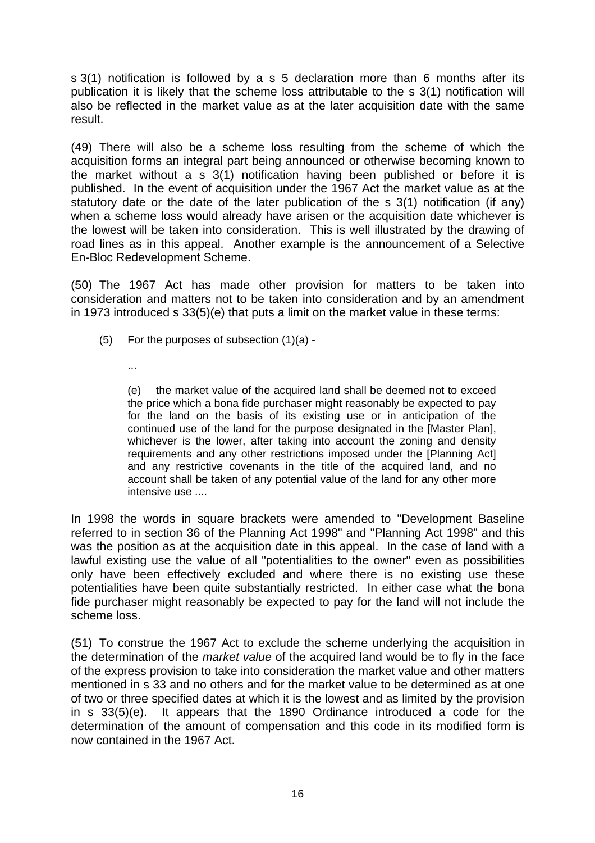s 3(1) notification is followed by a s 5 declaration more than 6 months after its publication it is likely that the scheme loss attributable to the s 3(1) notification will also be reflected in the market value as at the later acquisition date with the same result.

(49) There will also be a scheme loss resulting from the scheme of which the acquisition forms an integral part being announced or otherwise becoming known to the market without a  $\frac{1}{5}$  3(1) notification having been published or before it is published. In the event of acquisition under the 1967 Act the market value as at the statutory date or the date of the later publication of the s 3(1) notification (if any) when a scheme loss would already have arisen or the acquisition date whichever is the lowest will be taken into consideration. This is well illustrated by the drawing of road lines as in this appeal. Another example is the announcement of a Selective En-Bloc Redevelopment Scheme.

(50) The 1967 Act has made other provision for matters to be taken into consideration and matters not to be taken into consideration and by an amendment in 1973 introduced s 33(5)(e) that puts a limit on the market value in these terms:

- (5) For the purposes of subsection (1)(a)
	- ...

(e) the market value of the acquired land shall be deemed not to exceed the price which a bona fide purchaser might reasonably be expected to pay for the land on the basis of its existing use or in anticipation of the continued use of the land for the purpose designated in the [Master Plan], whichever is the lower, after taking into account the zoning and density requirements and any other restrictions imposed under the [Planning Act] and any restrictive covenants in the title of the acquired land, and no account shall be taken of any potential value of the land for any other more intensive use ....

In 1998 the words in square brackets were amended to "Development Baseline referred to in section 36 of the Planning Act 1998" and "Planning Act 1998" and this was the position as at the acquisition date in this appeal. In the case of land with a lawful existing use the value of all "potentialities to the owner" even as possibilities only have been effectively excluded and where there is no existing use these potentialities have been quite substantially restricted. In either case what the bona fide purchaser might reasonably be expected to pay for the land will not include the scheme loss.

(51) To construe the 1967 Act to exclude the scheme underlying the acquisition in the determination of the *market value* of the acquired land would be to fly in the face of the express provision to take into consideration the market value and other matters mentioned in s 33 and no others and for the market value to be determined as at one of two or three specified dates at which it is the lowest and as limited by the provision in s 33(5)(e). It appears that the 1890 Ordinance introduced a code for the determination of the amount of compensation and this code in its modified form is now contained in the 1967 Act.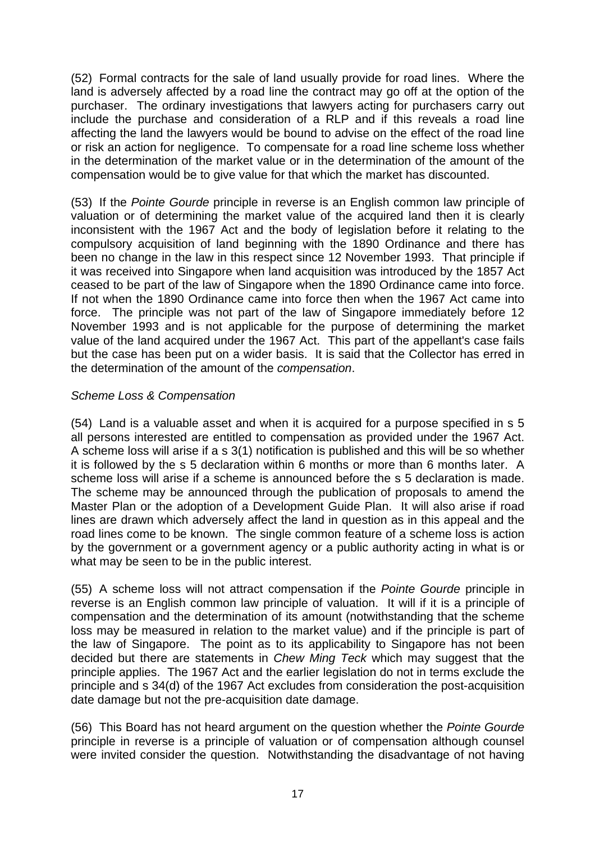(52) Formal contracts for the sale of land usually provide for road lines. Where the land is adversely affected by a road line the contract may go off at the option of the purchaser. The ordinary investigations that lawyers acting for purchasers carry out include the purchase and consideration of a RLP and if this reveals a road line affecting the land the lawyers would be bound to advise on the effect of the road line or risk an action for negligence. To compensate for a road line scheme loss whether in the determination of the market value or in the determination of the amount of the compensation would be to give value for that which the market has discounted.

(53) If the *Pointe Gourde* principle in reverse is an English common law principle of valuation or of determining the market value of the acquired land then it is clearly inconsistent with the 1967 Act and the body of legislation before it relating to the compulsory acquisition of land beginning with the 1890 Ordinance and there has been no change in the law in this respect since 12 November 1993. That principle if it was received into Singapore when land acquisition was introduced by the 1857 Act ceased to be part of the law of Singapore when the 1890 Ordinance came into force. If not when the 1890 Ordinance came into force then when the 1967 Act came into force. The principle was not part of the law of Singapore immediately before 12 November 1993 and is not applicable for the purpose of determining the market value of the land acquired under the 1967 Act. This part of the appellant's case fails but the case has been put on a wider basis. It is said that the Collector has erred in the determination of the amount of the *compensation*.

# *Scheme Loss & Compensation*

(54) Land is a valuable asset and when it is acquired for a purpose specified in s 5 all persons interested are entitled to compensation as provided under the 1967 Act. A scheme loss will arise if a s 3(1) notification is published and this will be so whether it is followed by the s 5 declaration within 6 months or more than 6 months later. A scheme loss will arise if a scheme is announced before the s 5 declaration is made. The scheme may be announced through the publication of proposals to amend the Master Plan or the adoption of a Development Guide Plan. It will also arise if road lines are drawn which adversely affect the land in question as in this appeal and the road lines come to be known. The single common feature of a scheme loss is action by the government or a government agency or a public authority acting in what is or what may be seen to be in the public interest.

(55) A scheme loss will not attract compensation if the *Pointe Gourde* principle in reverse is an English common law principle of valuation. It will if it is a principle of compensation and the determination of its amount (notwithstanding that the scheme loss may be measured in relation to the market value) and if the principle is part of the law of Singapore. The point as to its applicability to Singapore has not been decided but there are statements in *Chew Ming Teck* which may suggest that the principle applies. The 1967 Act and the earlier legislation do not in terms exclude the principle and s 34(d) of the 1967 Act excludes from consideration the post-acquisition date damage but not the pre-acquisition date damage.

(56) This Board has not heard argument on the question whether the *Pointe Gourde* principle in reverse is a principle of valuation or of compensation although counsel were invited consider the question. Notwithstanding the disadvantage of not having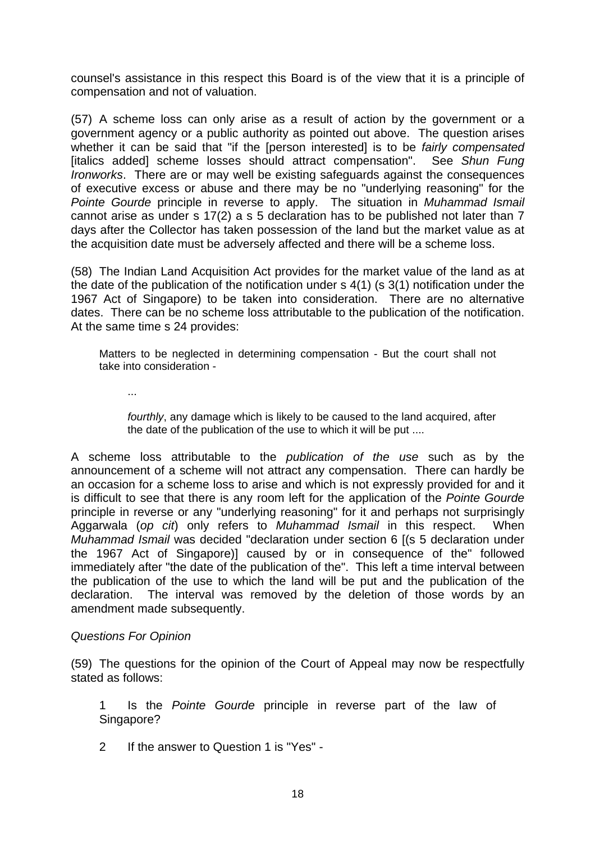counsel's assistance in this respect this Board is of the view that it is a principle of compensation and not of valuation.

(57) A scheme loss can only arise as a result of action by the government or a government agency or a public authority as pointed out above. The question arises whether it can be said that "if the [person interested] is to be *fairly compensated* [italics added] scheme losses should attract compensation". See *Shun Fung Ironworks*. There are or may well be existing safeguards against the consequences of executive excess or abuse and there may be no "underlying reasoning" for the *Pointe Gourde* principle in reverse to apply. The situation in *Muhammad Ismail* cannot arise as under s 17(2) a s 5 declaration has to be published not later than 7 days after the Collector has taken possession of the land but the market value as at the acquisition date must be adversely affected and there will be a scheme loss.

(58) The Indian Land Acquisition Act provides for the market value of the land as at the date of the publication of the notification under s 4(1) (s 3(1) notification under the 1967 Act of Singapore) to be taken into consideration. There are no alternative dates. There can be no scheme loss attributable to the publication of the notification. At the same time s 24 provides:

Matters to be neglected in determining compensation - But the court shall not take into consideration -

...

*fourthly*, any damage which is likely to be caused to the land acquired, after the date of the publication of the use to which it will be put ....

A scheme loss attributable to the *publication of the use* such as by the announcement of a scheme will not attract any compensation. There can hardly be an occasion for a scheme loss to arise and which is not expressly provided for and it is difficult to see that there is any room left for the application of the *Pointe Gourde* principle in reverse or any "underlying reasoning" for it and perhaps not surprisingly Aggarwala (*op cit*) only refers to *Muhammad Ismail* in this respect. When *Muhammad Ismail* was decided "declaration under section 6 [(s 5 declaration under the 1967 Act of Singapore)] caused by or in consequence of the" followed immediately after "the date of the publication of the". This left a time interval between the publication of the use to which the land will be put and the publication of the declaration. The interval was removed by the deletion of those words by an amendment made subsequently.

## *Questions For Opinion*

(59) The questions for the opinion of the Court of Appeal may now be respectfully stated as follows:

1 Is the *Pointe Gourde* principle in reverse part of the law of Singapore?

2 If the answer to Question 1 is "Yes" -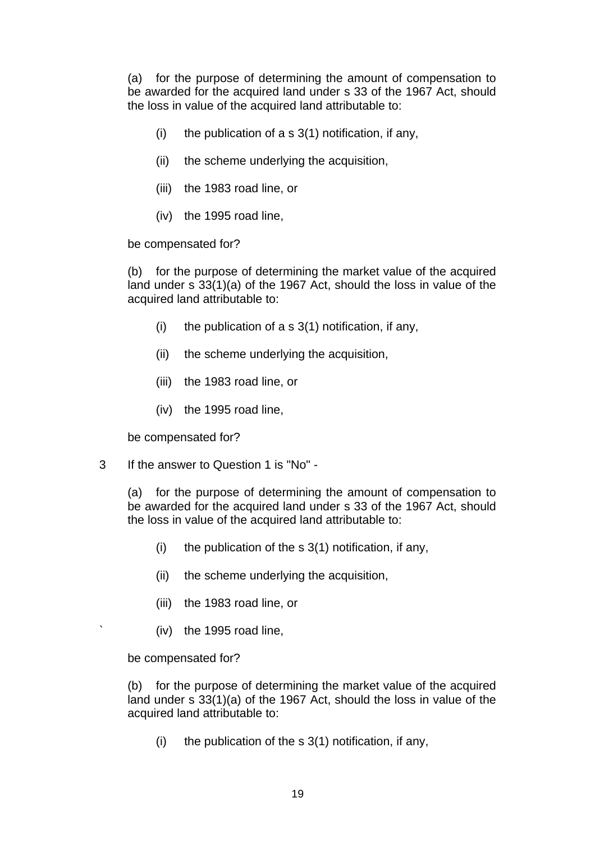(a) for the purpose of determining the amount of compensation to be awarded for the acquired land under s 33 of the 1967 Act, should the loss in value of the acquired land attributable to:

- (i) the publication of a s  $3(1)$  notification, if any,
- (ii) the scheme underlying the acquisition,
- (iii) the 1983 road line, or
- (iv) the 1995 road line,

be compensated for?

 (b) for the purpose of determining the market value of the acquired land under s 33(1)(a) of the 1967 Act, should the loss in value of the acquired land attributable to:

- (i) the publication of a s  $3(1)$  notification, if any,
- (ii) the scheme underlying the acquisition,
- (iii) the 1983 road line, or
- (iv) the 1995 road line,

be compensated for?

3 If the answer to Question 1 is "No" -

 (a) for the purpose of determining the amount of compensation to be awarded for the acquired land under s 33 of the 1967 Act, should the loss in value of the acquired land attributable to:

- (i) the publication of the s  $3(1)$  notification, if any,
- (ii) the scheme underlying the acquisition,
- (iii) the 1983 road line, or
- ` (iv) the 1995 road line,

be compensated for?

 (b) for the purpose of determining the market value of the acquired land under s 33(1)(a) of the 1967 Act, should the loss in value of the acquired land attributable to:

(i) the publication of the s  $3(1)$  notification, if any,